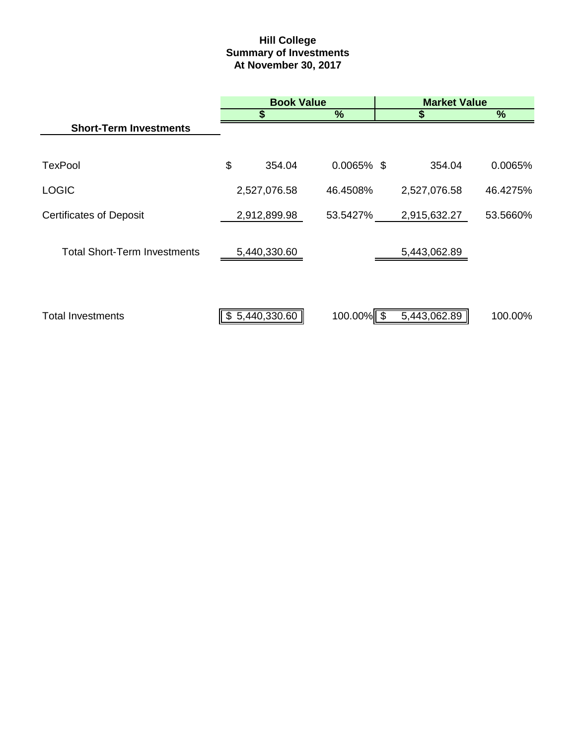# **Hill College Summary of Investments At November 30, 2017**

|                                     |                | <b>Book Value</b> | <b>Market Value</b> |               |  |
|-------------------------------------|----------------|-------------------|---------------------|---------------|--|
|                                     |                | %                 |                     | $\frac{9}{6}$ |  |
| <b>Short-Term Investments</b>       |                |                   |                     |               |  |
|                                     |                |                   |                     |               |  |
| <b>TexPool</b>                      | \$<br>354.04   | $0.0065\%$ \$     | 354.04              | 0.0065%       |  |
| <b>LOGIC</b>                        | 2,527,076.58   | 46.4508%          | 2,527,076.58        | 46.4275%      |  |
| <b>Certificates of Deposit</b>      | 2,912,899.98   | 53.5427%          | 2,915,632.27        | 53.5660%      |  |
| <b>Total Short-Term Investments</b> | 5,440,330.60   |                   | 5,443,062.89        |               |  |
|                                     |                |                   |                     |               |  |
| <b>Total Investments</b>            | \$5,440,330.60 | $100.00\%$        | 5,443,062.89        | 100.00%       |  |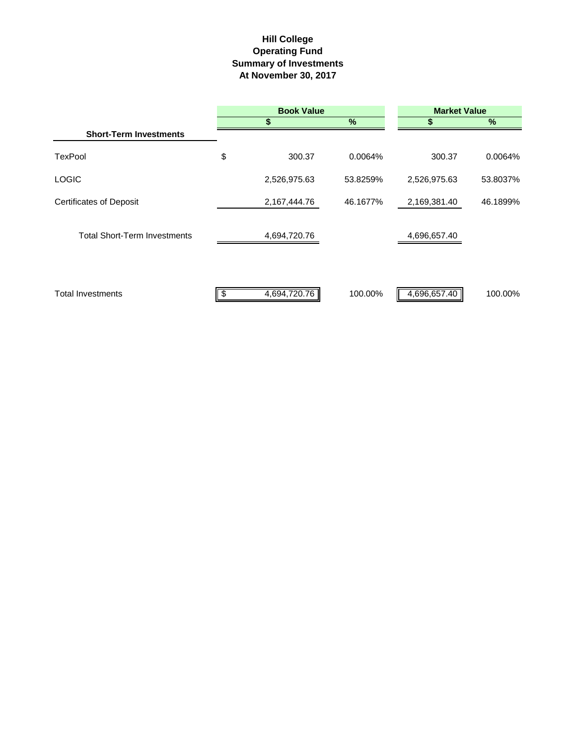# **Hill College Operating Fund At November 30, 2017 Summary of Investments**

|                                     |     | <b>Book Value</b> | <b>Market Value</b> |              |          |  |
|-------------------------------------|-----|-------------------|---------------------|--------------|----------|--|
|                                     |     | S                 | $\%$                |              | %        |  |
| <b>Short-Term Investments</b>       |     |                   |                     |              |          |  |
| <b>TexPool</b>                      | \$  | 300.37            | 0.0064%             | 300.37       | 0.0064%  |  |
| <b>LOGIC</b>                        |     | 2,526,975.63      | 53.8259%            | 2,526,975.63 | 53.8037% |  |
| <b>Certificates of Deposit</b>      |     | 2,167,444.76      | 46.1677%            | 2,169,381.40 | 46.1899% |  |
| <b>Total Short-Term Investments</b> |     | 4,694,720.76      |                     | 4,696,657.40 |          |  |
| <b>Total Investments</b>            | -\$ | 4,694,720.76      | 100.00%             | 4,696,657.40 | 100.00%  |  |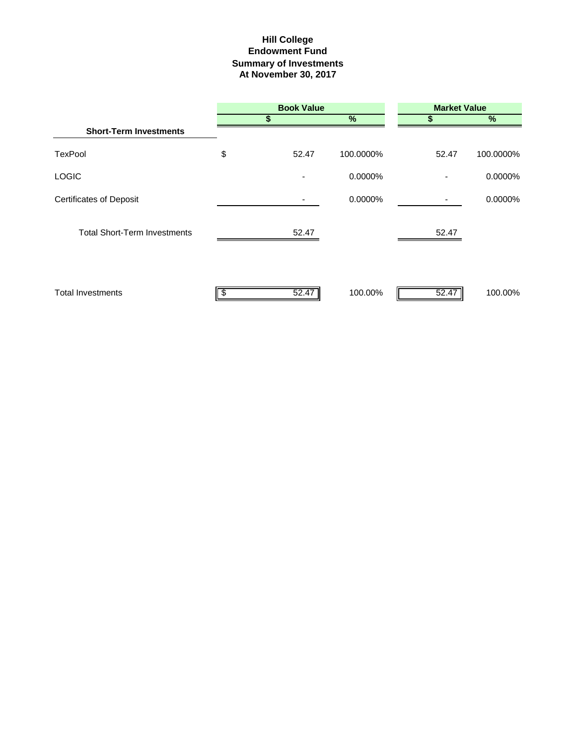### **Hill College Endowment Fund Summary of Investments At November 30, 2017**

|                                     |    | <b>Book Value</b> |           | <b>Market Value</b> |           |
|-------------------------------------|----|-------------------|-----------|---------------------|-----------|
|                                     | S  |                   | %         |                     | %         |
| <b>Short-Term Investments</b>       |    |                   |           |                     |           |
| <b>TexPool</b>                      | \$ | 52.47             | 100.0000% | 52.47               | 100.0000% |
| <b>LOGIC</b>                        |    |                   | 0.0000%   |                     | 0.0000%   |
| <b>Certificates of Deposit</b>      |    |                   | 0.0000%   |                     | 0.0000%   |
| <b>Total Short-Term Investments</b> |    | 52.47             |           | 52.47               |           |
| <b>Total Investments</b>            |    | 52.47             | 100.00%   | 52.47               | 100.00%   |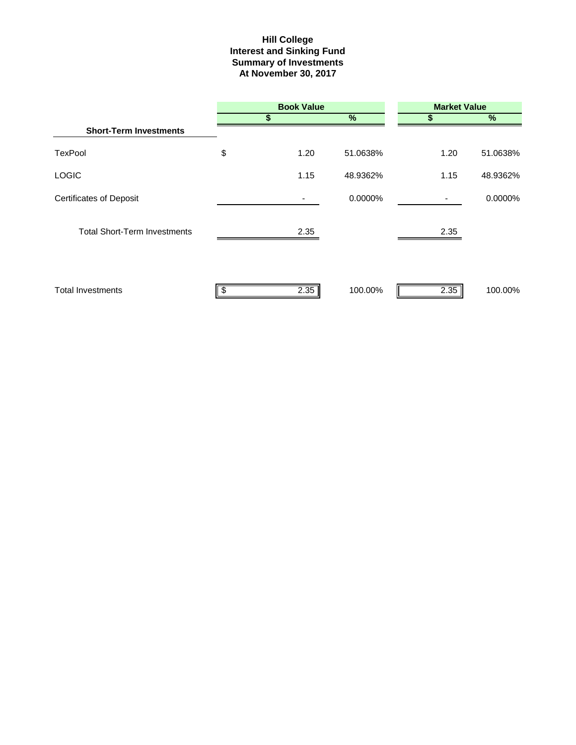#### **Hill College Interest and Sinking Fund Summary of Investments At November 30, 2017**

|                                     |    | <b>Book Value</b> |          | <b>Market Value</b> |          |  |  |
|-------------------------------------|----|-------------------|----------|---------------------|----------|--|--|
|                                     |    | \$                | %        | S                   | %        |  |  |
| <b>Short-Term Investments</b>       |    |                   |          |                     |          |  |  |
| <b>TexPool</b>                      | \$ | 1.20              | 51.0638% | 1.20                | 51.0638% |  |  |
| <b>LOGIC</b>                        |    | 1.15              | 48.9362% | 1.15                | 48.9362% |  |  |
| <b>Certificates of Deposit</b>      |    |                   | 0.0000%  |                     | 0.0000%  |  |  |
| <b>Total Short-Term Investments</b> |    | 2.35              |          | 2.35                |          |  |  |
| <b>Total Investments</b>            | S  | 2.35              | 100.00%  | 2.35                | 100.00%  |  |  |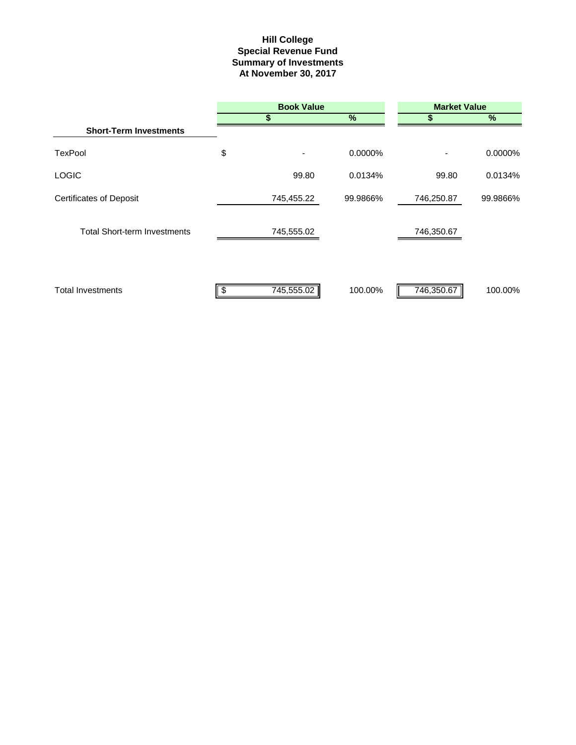#### **Special Revenue Fund Hill College Summary of Investments At November 30, 2017**

|                                     | <b>Book Value</b> |               |            | <b>Market Value</b> |  |  |  |
|-------------------------------------|-------------------|---------------|------------|---------------------|--|--|--|
|                                     | S                 | $\frac{9}{6}$ | S          | %                   |  |  |  |
| <b>Short-Term Investments</b>       |                   |               |            |                     |  |  |  |
| <b>TexPool</b>                      | \$<br>۰           | 0.0000%       |            | 0.0000%             |  |  |  |
| <b>LOGIC</b>                        | 99.80             | 0.0134%       | 99.80      | 0.0134%             |  |  |  |
| <b>Certificates of Deposit</b>      | 745,455.22        | 99.9866%      | 746,250.87 | 99.9866%            |  |  |  |
| <b>Total Short-term Investments</b> | 745,555.02        |               | 746,350.67 |                     |  |  |  |
| <b>Total Investments</b>            | 745,555.02        | 100.00%       | 746,350.67 | 100.00%             |  |  |  |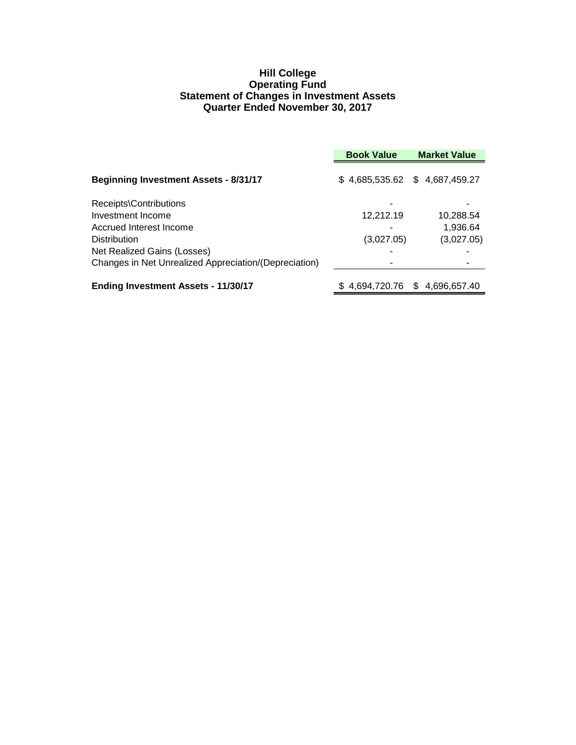#### **Hill College Operating Fund Statement of Changes in Investment Assets Quarter Ended November 30, 2017**

|                                                       | <b>Book Value</b> | <b>Market Value</b>             |
|-------------------------------------------------------|-------------------|---------------------------------|
| <b>Beginning Investment Assets - 8/31/17</b>          |                   | $$4,685,535.62$ $$4,687,459.27$ |
| Receipts\Contributions                                |                   |                                 |
| Investment Income                                     | 12,212.19         | 10,288.54                       |
| Accrued Interest Income                               |                   | 1,936.64                        |
| <b>Distribution</b>                                   | (3,027.05)        | (3,027.05)                      |
| Net Realized Gains (Losses)                           |                   |                                 |
| Changes in Net Unrealized Appreciation/(Depreciation) |                   |                                 |
| <b>Ending Investment Assets - 11/30/17</b>            |                   | \$4,694,720.76 \$4,696,657.40   |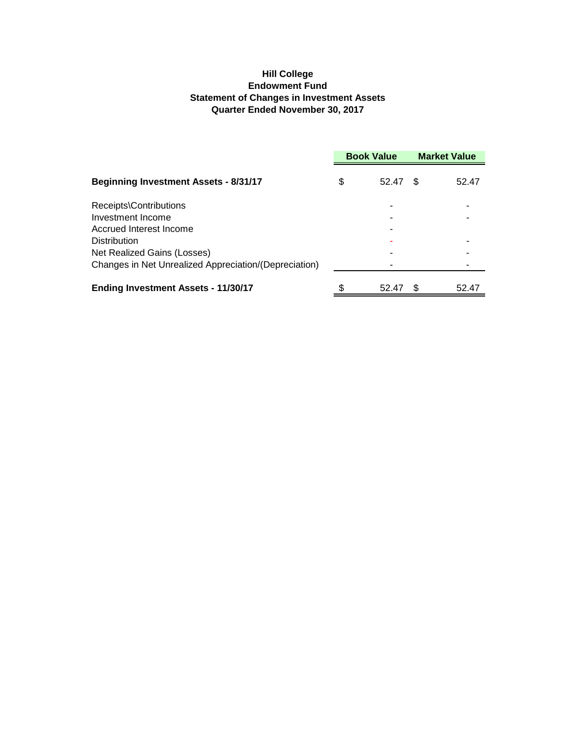#### **Hill College Endowment Fund Statement of Changes in Investment Assets Quarter Ended November 30, 2017**

|                                                       | <b>Book Value</b> |       | <b>Market Value</b> |       |
|-------------------------------------------------------|-------------------|-------|---------------------|-------|
| <b>Beginning Investment Assets - 8/31/17</b>          | \$                | 52.47 | -S                  | 52.47 |
| Receipts\Contributions                                |                   |       |                     |       |
| Investment Income                                     |                   |       |                     |       |
| Accrued Interest Income                               |                   |       |                     |       |
| <b>Distribution</b>                                   |                   |       |                     |       |
| Net Realized Gains (Losses)                           |                   |       |                     |       |
| Changes in Net Unrealized Appreciation/(Depreciation) |                   |       |                     |       |
| <b>Ending Investment Assets - 11/30/17</b>            |                   | 52.47 |                     | 52.47 |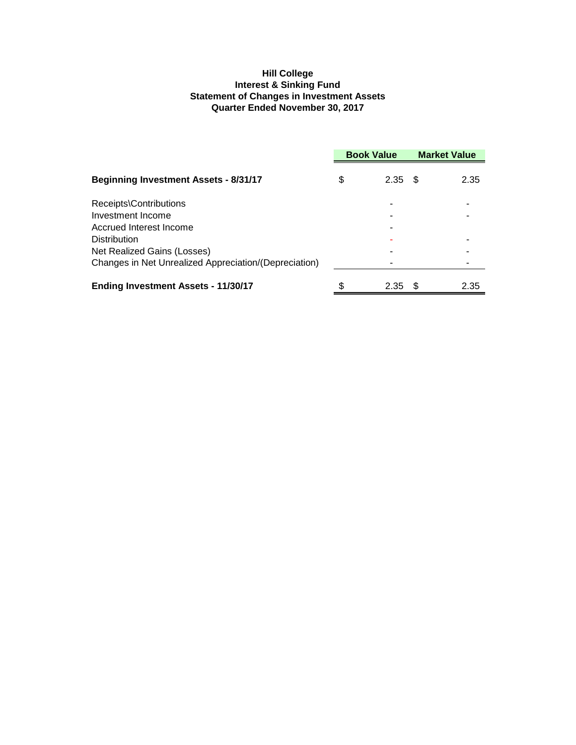#### **Hill College Interest & Sinking Fund Statement of Changes in Investment Assets Quarter Ended November 30, 2017**

|                                                       | <b>Book Value</b> |           | <b>Market Value</b> |      |
|-------------------------------------------------------|-------------------|-----------|---------------------|------|
| <b>Beginning Investment Assets - 8/31/17</b>          | \$                | $2.35$ \$ |                     | 2.35 |
| Receipts\Contributions                                |                   |           |                     |      |
| Investment Income                                     |                   |           |                     |      |
| Accrued Interest Income                               |                   |           |                     |      |
| <b>Distribution</b>                                   |                   |           |                     |      |
| Net Realized Gains (Losses)                           |                   |           |                     |      |
| Changes in Net Unrealized Appreciation/(Depreciation) |                   |           |                     |      |
| <b>Ending Investment Assets - 11/30/17</b>            |                   | 2.35      | - 35                | 2.35 |